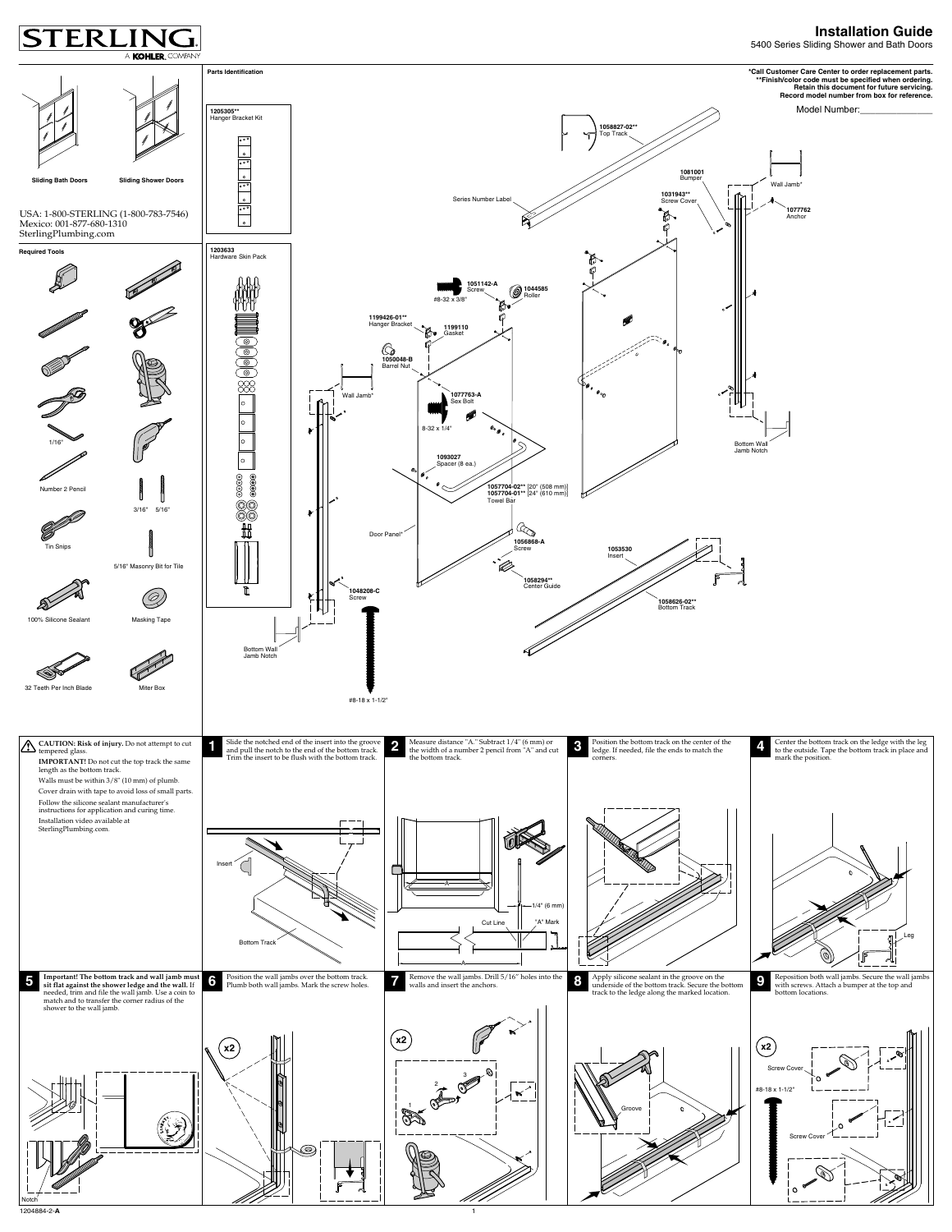5400 Series Sliding Shower and Bath Doors

## **Installation Guide**

TERLIN

A KOHLER, COMPANY